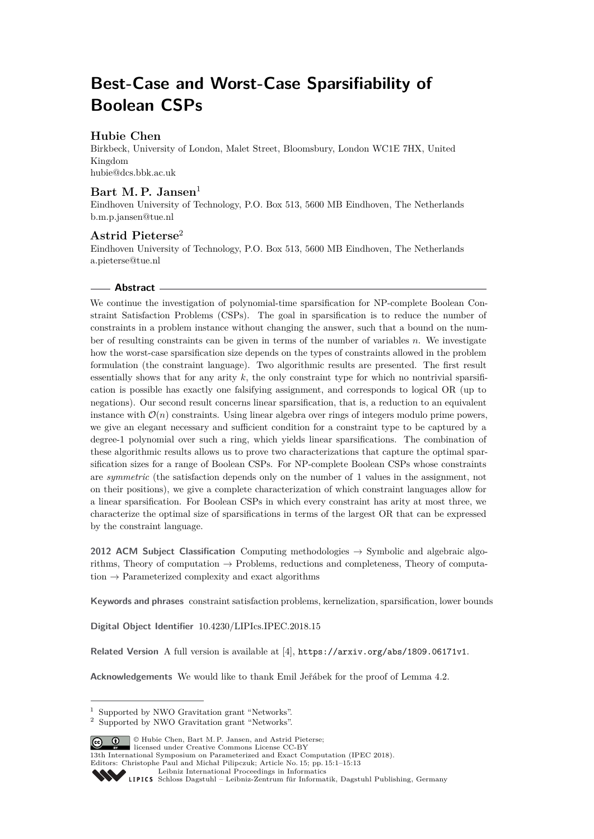# **Best-Case and Worst-Case Sparsifiability of Boolean CSPs**

# **Hubie Chen**

Birkbeck, University of London, Malet Street, Bloomsbury, London WC1E 7HX, United Kingdom [hubie@dcs.bbk.ac.uk](mailto:hubie@dcs.bbk.ac.uk)

# Bart M. P. Jansen<sup>1</sup>

Eindhoven University of Technology, P.O. Box 513, 5600 MB Eindhoven, The Netherlands [b.m.p.jansen@tue.nl](mailto:b.m.p.jansen@tue.nl)

# **Astrid Pieterse**<sup>2</sup>

Eindhoven University of Technology, P.O. Box 513, 5600 MB Eindhoven, The Netherlands [a.pieterse@tue.nl](mailto:a.pieterse@tue.nl)

## **Abstract**

We continue the investigation of polynomial-time sparsification for NP-complete Boolean Constraint Satisfaction Problems (CSPs). The goal in sparsification is to reduce the number of constraints in a problem instance without changing the answer, such that a bound on the number of resulting constraints can be given in terms of the number of variables *n*. We investigate how the worst-case sparsification size depends on the types of constraints allowed in the problem formulation (the constraint language). Two algorithmic results are presented. The first result essentially shows that for any arity  $k$ , the only constraint type for which no nontrivial sparsification is possible has exactly one falsifying assignment, and corresponds to logical OR (up to negations). Our second result concerns linear sparsification, that is, a reduction to an equivalent instance with  $\mathcal{O}(n)$  constraints. Using linear algebra over rings of integers modulo prime powers, we give an elegant necessary and sufficient condition for a constraint type to be captured by a degree-1 polynomial over such a ring, which yields linear sparsifications. The combination of these algorithmic results allows us to prove two characterizations that capture the optimal sparsification sizes for a range of Boolean CSPs. For NP-complete Boolean CSPs whose constraints are *symmetric* (the satisfaction depends only on the number of 1 values in the assignment, not on their positions), we give a complete characterization of which constraint languages allow for a linear sparsification. For Boolean CSPs in which every constraint has arity at most three, we characterize the optimal size of sparsifications in terms of the largest OR that can be expressed by the constraint language.

**2012 ACM Subject Classification** Computing methodologies → Symbolic and algebraic algorithms, Theory of computation  $\rightarrow$  Problems, reductions and completeness, Theory of computation  $\rightarrow$  Parameterized complexity and exact algorithms

**Keywords and phrases** constraint satisfaction problems, kernelization, sparsification, lower bounds

**Digital Object Identifier** [10.4230/LIPIcs.IPEC.2018.15](https://doi.org/10.4230/LIPIcs.IPEC.2018.15)

**Related Version** A full version is available at [\[4\]](#page-12-0), <https://arxiv.org/abs/1809.06171v1>.

**Acknowledgements** We would like to thank Emil Jeřábek for the proof of Lemma [4.2.](#page-7-0)

© Hubie Chen, Bart M. P. Jansen, and Astrid Pieterse;

licensed under Creative Commons License CC-BY 13th International Symposium on Parameterized and Exact Computation (IPEC 2018).

Editors: Christophe Paul and Michał Pilipczuk; Article No. 15; pp. 15:1–15[:13](#page-12-1)

<sup>1</sup> Supported by NWO Gravitation grant "Networks".

<sup>2</sup> Supported by NWO Gravitation grant "Networks".

[Leibniz International Proceedings in Informatics](http://www.dagstuhl.de/lipics/)

Leibniz international ruse einigs in missimosischen Publishing, Germany<br>LIPICS [Schloss Dagstuhl – Leibniz-Zentrum für Informatik, Dagstuhl Publishing, Germany](http://www.dagstuhl.de)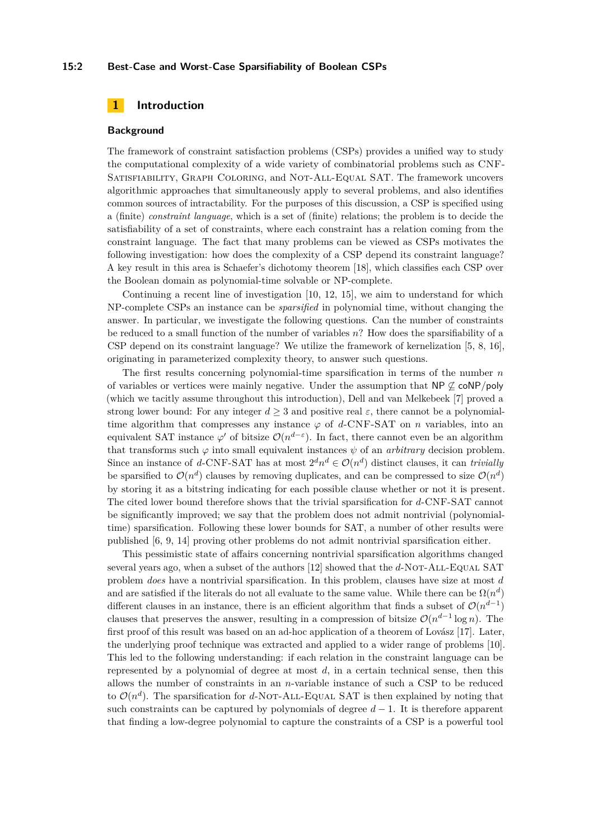#### **15:2 Best-Case and Worst-Case Sparsifiability of Boolean CSPs**

## **1 Introduction**

#### **Background**

The framework of constraint satisfaction problems (CSPs) provides a unified way to study the computational complexity of a wide variety of combinatorial problems such as CNF-Satisfiability, Graph Coloring, and Not-All-Equal SAT. The framework uncovers algorithmic approaches that simultaneously apply to several problems, and also identifies common sources of intractability. For the purposes of this discussion, a CSP is specified using a (finite) *constraint language*, which is a set of (finite) relations; the problem is to decide the satisfiability of a set of constraints, where each constraint has a relation coming from the constraint language. The fact that many problems can be viewed as CSPs motivates the following investigation: how does the complexity of a CSP depend its constraint language? A key result in this area is Schaefer's dichotomy theorem [\[18\]](#page-12-2), which classifies each CSP over the Boolean domain as polynomial-time solvable or NP-complete.

Continuing a recent line of investigation [\[10,](#page-12-3) [12,](#page-12-4) [15\]](#page-12-5), we aim to understand for which NP-complete CSPs an instance can be *sparsified* in polynomial time, without changing the answer. In particular, we investigate the following questions. Can the number of constraints be reduced to a small function of the number of variables *n*? How does the sparsifiability of a CSP depend on its constraint language? We utilize the framework of kernelization [\[5,](#page-12-6) [8,](#page-12-7) [16\]](#page-12-8), originating in parameterized complexity theory, to answer such questions.

The first results concerning polynomial-time sparsification in terms of the number *n* of variables or vertices were mainly negative. Under the assumption that  $NP \nsubseteq \text{coNP/poly}$ (which we tacitly assume throughout this introduction), Dell and van Melkebeek [\[7\]](#page-12-9) proved a strong lower bound: For any integer  $d \geq 3$  and positive real  $\varepsilon$ , there cannot be a polynomialtime algorithm that compresses any instance  $\varphi$  of *d*-CNF-SAT on *n* variables, into an equivalent SAT instance  $\varphi'$  of bitsize  $\mathcal{O}(n^{d-\varepsilon})$ . In fact, there cannot even be an algorithm that transforms such  $\varphi$  into small equivalent instances  $\psi$  of an *arbitrary* decision problem. Since an instance of *d*-CNF-SAT has at most  $2^d n^d \in \mathcal{O}(n^d)$  distinct clauses, it can *trivially* be sparsified to  $\mathcal{O}(n^d)$  clauses by removing duplicates, and can be compressed to size  $\mathcal{O}(n^d)$ by storing it as a bitstring indicating for each possible clause whether or not it is present. The cited lower bound therefore shows that the trivial sparsification for *d*-CNF-SAT cannot be significantly improved; we say that the problem does not admit nontrivial (polynomialtime) sparsification. Following these lower bounds for SAT, a number of other results were published [\[6,](#page-12-10) [9,](#page-12-11) [14\]](#page-12-12) proving other problems do not admit nontrivial sparsification either.

This pessimistic state of affairs concerning nontrivial sparsification algorithms changed several years ago, when a subset of the authors [\[12\]](#page-12-4) showed that the *d*-NOT-ALL-Equal SAT problem *does* have a nontrivial sparsification. In this problem, clauses have size at most *d* and are satisfied if the literals do not all evaluate to the same value. While there can be  $\Omega(n^d)$ different clauses in an instance, there is an efficient algorithm that finds a subset of  $\mathcal{O}(n^{d-1})$ clauses that preserves the answer, resulting in a compression of bitsize  $\mathcal{O}(n^{d-1} \log n)$ . The first proof of this result was based on an ad-hoc application of a theorem of Lovász [\[17\]](#page-12-13). Later, the underlying proof technique was extracted and applied to a wider range of problems [\[10\]](#page-12-3). This led to the following understanding: if each relation in the constraint language can be represented by a polynomial of degree at most *d*, in a certain technical sense, then this allows the number of constraints in an *n*-variable instance of such a CSP to be reduced to  $\mathcal{O}(n^d)$ . The sparsification for *d*-NOT-ALL-EQUAL SAT is then explained by noting that such constraints can be captured by polynomials of degree *d* − 1. It is therefore apparent that finding a low-degree polynomial to capture the constraints of a CSP is a powerful tool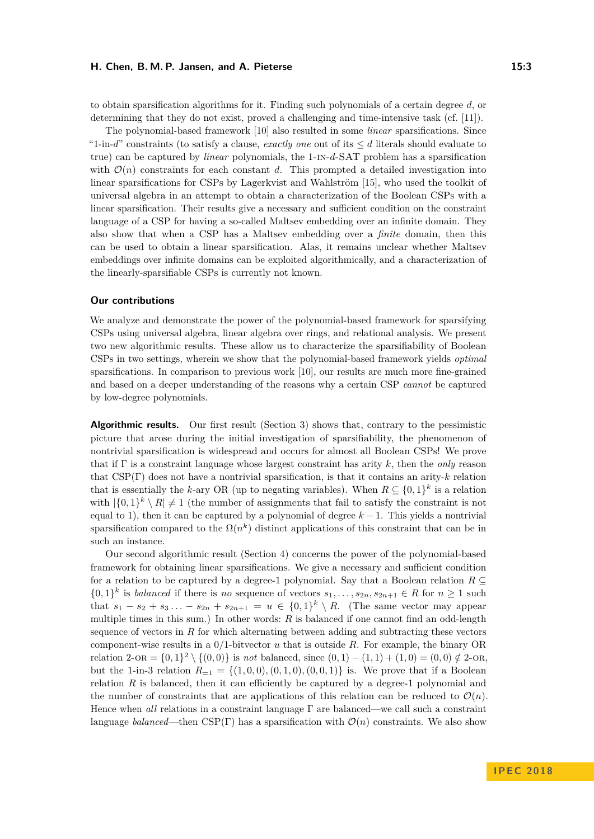#### **H. Chen, B. M. P. Jansen, and A. Pieterse 15:3**

to obtain sparsification algorithms for it. Finding such polynomials of a certain degree *d*, or determining that they do not exist, proved a challenging and time-intensive task (cf. [\[11\]](#page-12-14)).

The polynomial-based framework [\[10\]](#page-12-3) also resulted in some *linear* sparsifications. Since "1-in-*d*" constraints (to satisfy a clause, *exactly one* out of its  $\leq d$  literals should evaluate to true) can be captured by *linear* polynomials, the 1-in-*d*-SAT problem has a sparsification with  $\mathcal{O}(n)$  constraints for each constant *d*. This prompted a detailed investigation into linear sparsifications for CSPs by Lagerkvist and Wahlström [\[15\]](#page-12-5), who used the toolkit of universal algebra in an attempt to obtain a characterization of the Boolean CSPs with a linear sparsification. Their results give a necessary and sufficient condition on the constraint language of a CSP for having a so-called Maltsev embedding over an infinite domain. They also show that when a CSP has a Maltsev embedding over a *finite* domain, then this can be used to obtain a linear sparsification. Alas, it remains unclear whether Maltsev embeddings over infinite domains can be exploited algorithmically, and a characterization of the linearly-sparsifiable CSPs is currently not known.

#### **Our contributions**

We analyze and demonstrate the power of the polynomial-based framework for sparsifying CSPs using universal algebra, linear algebra over rings, and relational analysis. We present two new algorithmic results. These allow us to characterize the sparsifiability of Boolean CSPs in two settings, wherein we show that the polynomial-based framework yields *optimal* sparsifications. In comparison to previous work [\[10\]](#page-12-3), our results are much more fine-grained and based on a deeper understanding of the reasons why a certain CSP *cannot* be captured by low-degree polynomials.

**Algorithmic results.** Our first result (Section [3\)](#page-6-0) shows that, contrary to the pessimistic picture that arose during the initial investigation of sparsifiability, the phenomenon of nontrivial sparsification is widespread and occurs for almost all Boolean CSPs! We prove that if Γ is a constraint language whose largest constraint has arity *k*, then the *only* reason that CSP(Γ) does not have a nontrivial sparsification, is that it contains an arity-*k* relation that is essentially the *k*-ary OR (up to negating variables). When  $R \subseteq \{0,1\}^k$  is a relation with  $|\{0,1\}^k \setminus R| \neq 1$  (the number of assignments that fail to satisfy the constraint is not equal to 1), then it can be captured by a polynomial of degree  $k - 1$ . This yields a nontrivial sparsification compared to the  $\Omega(n^k)$  distinct applications of this constraint that can be in such an instance.

Our second algorithmic result (Section [4\)](#page-7-1) concerns the power of the polynomial-based framework for obtaining linear sparsifications. We give a necessary and sufficient condition for a relation to be captured by a degree-1 polynomial. Say that a Boolean relation  $R \subseteq$  $\{0,1\}^k$  is *balanced* if there is *no* sequence of vectors  $s_1, \ldots, s_{2n}, s_{2n+1} \in R$  for  $n \geq 1$  such that  $s_1 - s_2 + s_3 \ldots - s_{2n} + s_{2n+1} = u \in \{0,1\}^k \setminus R$ . (The same vector may appear multiple times in this sum.) In other words: *R* is balanced if one cannot find an odd-length sequence of vectors in *R* for which alternating between adding and subtracting these vectors component-wise results in a 0/1-bitvector *u* that is outside *R*. For example, the binary OR relation  $2$ -OR =  $\{0, 1\}^2 \setminus \{(0, 0)\}$  is *not* balanced, since  $(0, 1) - (1, 1) + (1, 0) = (0, 0) \notin 2$ -OR, but the 1-in-3 relation  $R_{=1} = \{(1,0,0), (0,1,0), (0,0,1)\}$  is. We prove that if a Boolean relation  $R$  is balanced, then it can efficiently be captured by a degree-1 polynomial and the number of constraints that are applications of this relation can be reduced to  $\mathcal{O}(n)$ . Hence when *all* relations in a constraint language Γ are balanced—we call such a constraint language *balanced*—then CSP(Γ) has a sparsification with  $\mathcal{O}(n)$  constraints. We also show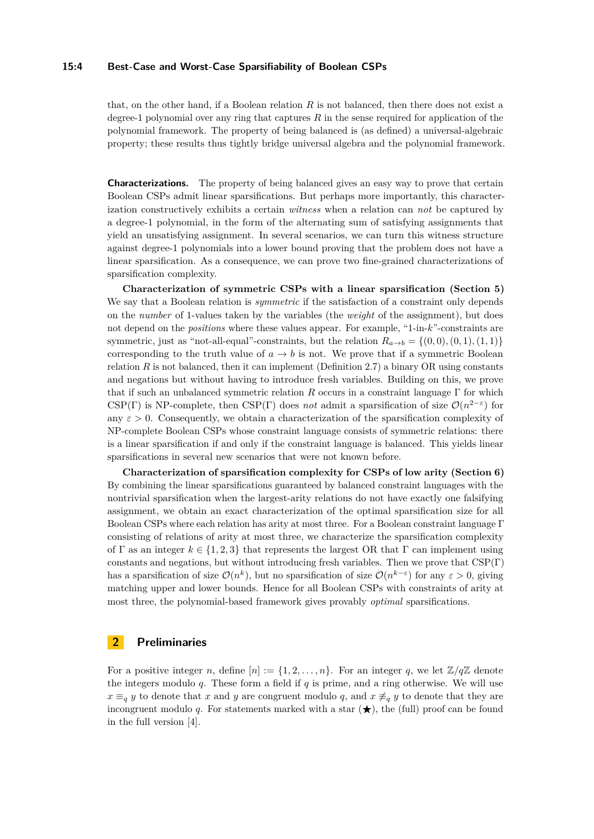#### **15:4 Best-Case and Worst-Case Sparsifiability of Boolean CSPs**

that, on the other hand, if a Boolean relation *R* is not balanced, then there does not exist a degree-1 polynomial over any ring that captures *R* in the sense required for application of the polynomial framework. The property of being balanced is (as defined) a universal-algebraic property; these results thus tightly bridge universal algebra and the polynomial framework.

**Characterizations.** The property of being balanced gives an easy way to prove that certain Boolean CSPs admit linear sparsifications. But perhaps more importantly, this characterization constructively exhibits a certain *witness* when a relation can *not* be captured by a degree-1 polynomial, in the form of the alternating sum of satisfying assignments that yield an unsatisfying assignment. In several scenarios, we can turn this witness structure against degree-1 polynomials into a lower bound proving that the problem does not have a linear sparsification. As a consequence, we can prove two fine-grained characterizations of sparsification complexity.

**Characterization of symmetric CSPs with a linear sparsification (Section [5\)](#page-8-0)** We say that a Boolean relation is *symmetric* if the satisfaction of a constraint only depends on the *number* of 1-values taken by the variables (the *weight* of the assignment), but does not depend on the *positions* where these values appear. For example, "1-in-*k*"-constraints are symmetric, just as "not-all-equal"-constraints, but the relation  $R_{a\to b} = \{(0,0), (0,1), (1,1)\}\$ corresponding to the truth value of  $a \to b$  is not. We prove that if a symmetric Boolean relation *R* is not balanced, then it can implement (Definition [2.7\)](#page-5-0) a binary OR using constants and negations but without having to introduce fresh variables. Building on this, we prove that if such an unbalanced symmetric relation *R* occurs in a constraint language Γ for which CSP(Γ) is NP-complete, then CSP(Γ) does *not* admit a sparsification of size  $\mathcal{O}(n^{2-\epsilon})$  for any  $\varepsilon > 0$ . Consequently, we obtain a characterization of the sparsification complexity of NP-complete Boolean CSPs whose constraint language consists of symmetric relations: there is a linear sparsification if and only if the constraint language is balanced. This yields linear sparsifications in several new scenarios that were not known before.

**Characterization of sparsification complexity for CSPs of low arity (Section [6\)](#page-10-0)** By combining the linear sparsifications guaranteed by balanced constraint languages with the nontrivial sparsification when the largest-arity relations do not have exactly one falsifying assignment, we obtain an exact characterization of the optimal sparsification size for all Boolean CSPs where each relation has arity at most three. For a Boolean constraint language Γ consisting of relations of arity at most three, we characterize the sparsification complexity of Γ as an integer  $k \in \{1, 2, 3\}$  that represents the largest OR that Γ can implement using constants and negations, but without introducing fresh variables. Then we prove that  $CSP(\Gamma)$ has a sparsification of size  $\mathcal{O}(n^k)$ , but no sparsification of size  $\mathcal{O}(n^{k-\varepsilon})$  for any  $\varepsilon > 0$ , giving matching upper and lower bounds. Hence for all Boolean CSPs with constraints of arity at most three, the polynomial-based framework gives provably *optimal* sparsifications.

## **2 Preliminaries**

For a positive integer *n*, define  $[n] := \{1, 2, \ldots, n\}$ . For an integer *q*, we let  $\mathbb{Z}/q\mathbb{Z}$  denote the integers modulo *q*. These form a field if *q* is prime, and a ring otherwise. We will use  $x \equiv_q y$  to denote that *x* and *y* are congruent modulo *q*, and  $x \neq_q y$  to denote that they are incongruent modulo q. For statements marked with a star  $(\bigstar)$ , the (full) proof can be found in the full version [\[4\]](#page-12-0).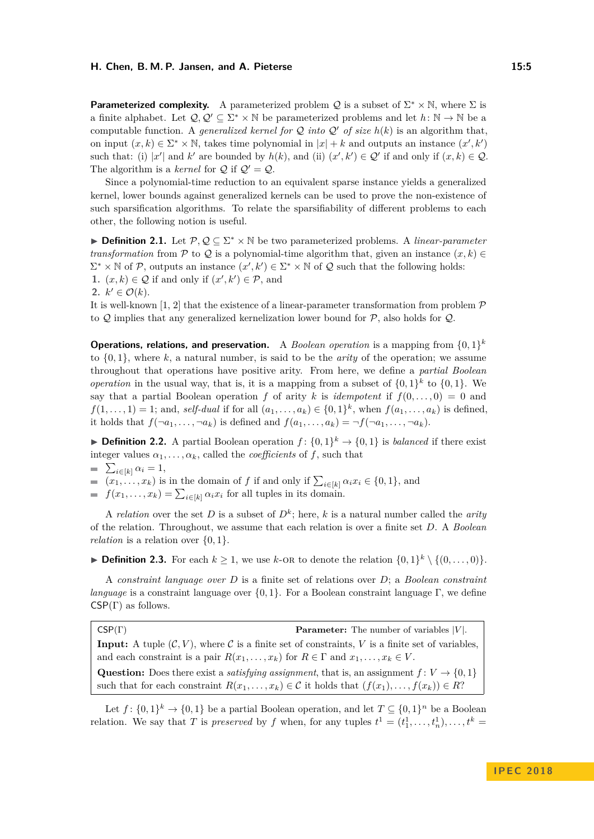#### **H. Chen, B. M. P. Jansen, and A. Pieterse 15:5**

**Parameterized complexity.** A parameterized problem Q is a subset of  $\Sigma^* \times \mathbb{N}$ , where  $\Sigma$  is a finite alphabet. Let  $Q, Q' \subseteq \Sigma^* \times \mathbb{N}$  be parameterized problems and let  $h: \mathbb{N} \to \mathbb{N}$  be a computable function. A *generalized kernel for*  $Q$  *into*  $Q'$  *of size*  $h(k)$  is an algorithm that, on input  $(x, k) \in \Sigma^* \times \mathbb{N}$ , takes time polynomial in  $|x| + k$  and outputs an instance  $(x', k')$ such that: (i) |x'| and k' are bounded by  $h(k)$ , and (ii)  $(x', k') \in \mathcal{Q}'$  if and only if  $(x, k) \in \mathcal{Q}$ . The algorithm is a *kernel* for  $\mathcal{Q}$  if  $\mathcal{Q}' = \mathcal{Q}$ .

Since a polynomial-time reduction to an equivalent sparse instance yields a generalized kernel, lower bounds against generalized kernels can be used to prove the non-existence of such sparsification algorithms. To relate the sparsifiability of different problems to each other, the following notion is useful.

**► Definition 2.1.** Let  $\mathcal{P}, \mathcal{Q} \subseteq \Sigma^* \times \mathbb{N}$  be two parameterized problems. A *linear-parameter transformation* from P to Q is a polynomial-time algorithm that, given an instance  $(x, k) \in$  $\Sigma^* \times \mathbb{N}$  of P, outputs an instance  $(x', k') \in \Sigma^* \times \mathbb{N}$  of Q such that the following holds: **1.**  $(x, k) \in \mathcal{Q}$  if and only if  $(x', k') \in \mathcal{P}$ , and 2.  $k' \in \mathcal{O}(k)$ .

It is well-known [\[1,](#page-12-15) [2\]](#page-12-16) that the existence of a linear-parameter transformation from problem  $\mathcal{P}$ to  $Q$  implies that any generalized kernelization lower bound for  $P$ , also holds for  $Q$ .

**Operations, relations, and preservation.** A *Boolean operation* is a mapping from  $\{0,1\}^k$ to {0*,* 1}, where *k*, a natural number, is said to be the *arity* of the operation; we assume throughout that operations have positive arity. From here, we define a *partial Boolean operation* in the usual way, that is, it is a mapping from a subset of  $\{0,1\}^k$  to  $\{0,1\}$ . We say that a partial Boolean operation *f* of arity *k* is *idempotent* if  $f(0, \ldots, 0) = 0$  and  $f(1, \ldots, 1) = 1$ ; and, *self-dual* if for all  $(a_1, \ldots, a_k) \in \{0, 1\}^k$ , when  $f(a_1, \ldots, a_k)$  is defined, it holds that  $f(\neg a_1, \ldots, \neg a_k)$  is defined and  $f(a_1, \ldots, a_k) = \neg f(\neg a_1, \ldots, \neg a_k)$ .

**Definition 2.2.** A partial Boolean operation  $f: \{0,1\}^k \to \{0,1\}$  is *balanced* if there exist integer values  $\alpha_1, \ldots, \alpha_k$ , called the *coefficients* of *f*, such that

 $\sum_{i\in[k]} \alpha_i = 1,$ 

 $(x_1, \ldots, x_k)$  is in the domain of *f* if and only if  $\sum_{i \in [k]} \alpha_i x_i \in \{0, 1\}$ , and

 $f(x_1, \ldots, x_k) = \sum_{i \in [k]} \alpha_i x_i$  for all tuples in its domain.

A *relation* over the set *D* is a subset of  $D^k$ ; here, *k* is a natural number called the *arity* of the relation. Throughout, we assume that each relation is over a finite set *D*. A *Boolean relation* is a relation over  $\{0, 1\}.$ 

▶ **Definition 2.3.** For each  $k \ge 1$ , we use  $k$ -OR to denote the relation  $\{0,1\}^k \setminus \{(0,\ldots,0)\}$ .

A *constraint language over D* is a finite set of relations over *D*; a *Boolean constraint language* is a constraint language over {0*,* 1}. For a Boolean constraint language Γ, we define  $CSP(\Gamma)$  as follows.

CSP(Γ) **Parameter:** The number of variables |*V* |. **Input:** A tuple  $(C, V)$ , where C is a finite set of constraints, V is a finite set of variables, and each constraint is a pair  $R(x_1, \ldots, x_k)$  for  $R \in \Gamma$  and  $x_1, \ldots, x_k \in V$ . **Question:** Does there exist a *satisfying assignment*, that is, an assignment  $f: V \to \{0, 1\}$ such that for each constraint  $R(x_1, \ldots, x_k) \in \mathcal{C}$  it holds that  $(f(x_1), \ldots, f(x_k)) \in R$ ?

Let  $f: \{0,1\}^k \to \{0,1\}$  be a partial Boolean operation, and let  $T \subseteq \{0,1\}^n$  be a Boolean relation. We say that *T* is *preserved* by *f* when, for any tuples  $t^1 = (t_1^1, \ldots, t_n^1), \ldots, t^k =$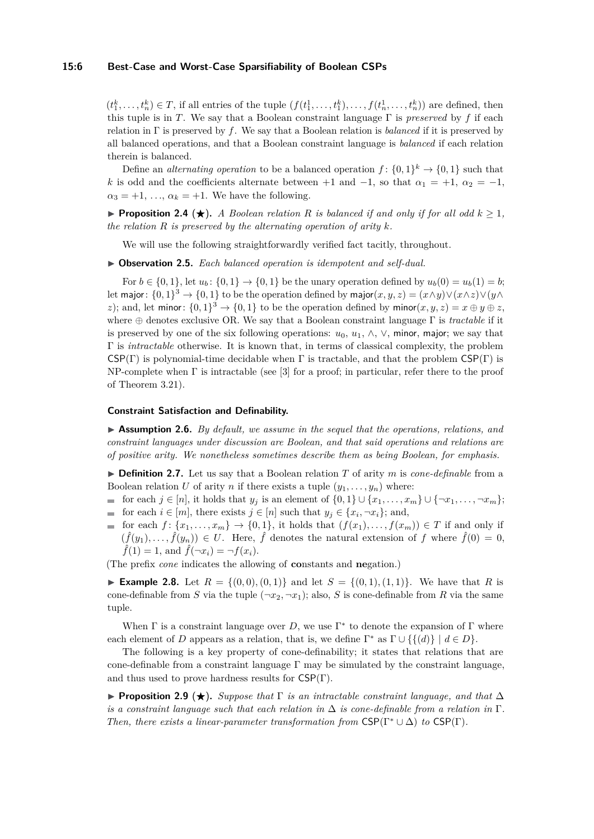#### **15:6 Best-Case and Worst-Case Sparsifiability of Boolean CSPs**

 $(t_1^k, \ldots, t_n^k) \in T$ , if all entries of the tuple  $(f(t_1^1, \ldots, t_1^k), \ldots, f(t_n^1, \ldots, t_n^k))$  are defined, then this tuple is in *T*. We say that a Boolean constraint language Γ is *preserved* by *f* if each relation in Γ is preserved by *f*. We say that a Boolean relation is *balanced* if it is preserved by all balanced operations, and that a Boolean constraint language is *balanced* if each relation therein is balanced.

Define an *alternating operation* to be a balanced operation  $f: \{0,1\}^k \to \{0,1\}$  such that *k* is odd and the coefficients alternate between +1 and  $-1$ , so that  $\alpha_1 = +1$ ,  $\alpha_2 = -1$ ,  $\alpha_3 = +1, \ldots, \alpha_k = +1.$  We have the following.

**Proposition 2.4** ( $\star$ ). *A Boolean relation R is balanced if and only if for all odd*  $k > 1$ , *the relation R is preserved by the alternating operation of arity k.*

We will use the following straightforwardly verified fact tacitly, throughout.

▶ Observation 2.5. *Each balanced operation is idempotent and self-dual.* 

For  $b \in \{0, 1\}$ , let  $u_b$ :  $\{0, 1\} \rightarrow \{0, 1\}$  be the unary operation defined by  $u_b(0) = u_b(1) = b$ ; let major:  $\{0,1\}^3 \to \{0,1\}$  to be the operation defined by major $(x, y, z) = (x \wedge y) \vee (x \wedge z) \vee (y \wedge z)$ *z*); and, let minor:  $\{0,1\}^3 \rightarrow \{0,1\}$  to be the operation defined by minor $(x, y, z) = x \oplus y \oplus z$ , where ⊕ denotes exclusive OR. We say that a Boolean constraint language Γ is *tractable* if it is preserved by one of the six following operations:  $u_0, u_1, \wedge, \vee$ , minor, major; we say that Γ is *intractable* otherwise. It is known that, in terms of classical complexity, the problem  $CSP(\Gamma)$  is polynomial-time decidable when  $\Gamma$  is tractable, and that the problem  $CSP(\Gamma)$  is NP-complete when  $\Gamma$  is intractable (see [\[3\]](#page-12-17) for a proof; in particular, refer there to the proof of Theorem 3.21).

#### **Constraint Satisfaction and Definability.**

▶ **Assumption 2.6.** *By default, we assume in the sequel that the operations, relations, and constraint languages under discussion are Boolean, and that said operations and relations are of positive arity. We nonetheless sometimes describe them as being Boolean, for emphasis.*

<span id="page-5-0"></span>▶ **Definition 2.7.** Let us say that a Boolean relation *T* of arity *m* is *cone-definable* from a Boolean relation *U* of arity *n* if there exists a tuple  $(y_1, \ldots, y_n)$  where:

- for each  $j \in [n]$ , it holds that  $y_j$  is an element of  $\{0,1\} \cup \{x_1,\ldots,x_m\} \cup \{\neg x_1,\ldots,\neg x_m\};$
- for each  $i \in [m]$ , there exists  $j \in [n]$  such that  $y_j \in \{x_i, \neg x_i\}$ ; and,
- for each  $f: \{x_1, \ldots, x_m\} \to \{0,1\}$ , it holds that  $(f(x_1), \ldots, f(x_m)) \in T$  if and only if  $(\hat{f}(y_1), \ldots, \hat{f}(y_n)) \in U$ . Here,  $\hat{f}$  denotes the natural extension of f where  $\hat{f}(0) = 0$ ,  $\hat{f}(1) = 1$ , and  $\hat{f}(\neg x_i) = \neg f(x_i)$ .

(The prefix *cone* indicates the allowing of **co**nstants and **ne**gation.)

▶ Example 2.8. Let  $R = \{(0,0), (0,1)\}$  and let  $S = \{(0,1), (1,1)\}$ . We have that R is cone-definable from *S* via the tuple  $(-x_2, -x_1)$ ; also, *S* is cone-definable from *R* via the same tuple.

When  $\Gamma$  is a constraint language over  $D$ , we use  $\Gamma^*$  to denote the expansion of  $\Gamma$  where each element of *D* appears as a relation, that is, we define  $\Gamma^*$  as  $\Gamma \cup \{\{(d)\} \mid d \in D\}$ .

The following is a key property of cone-definability; it states that relations that are cone-definable from a constraint language  $\Gamma$  may be simulated by the constraint language, and thus used to prove hardness results for  $CSP(\Gamma)$ .

**Proposition 2.9 (** $\star$ **).** *Suppose that*  $\Gamma$  *is an intractable constraint language, and that*  $\Delta$ *is a constraint language such that each relation in*  $\Delta$  *is cone-definable from a relation in*  $\Gamma$ *. Then, there exists a linear-parameter transformation from CSP(Γ<sup>\*</sup> ∪*  $\Delta$ *) <i>to* CSP(Γ).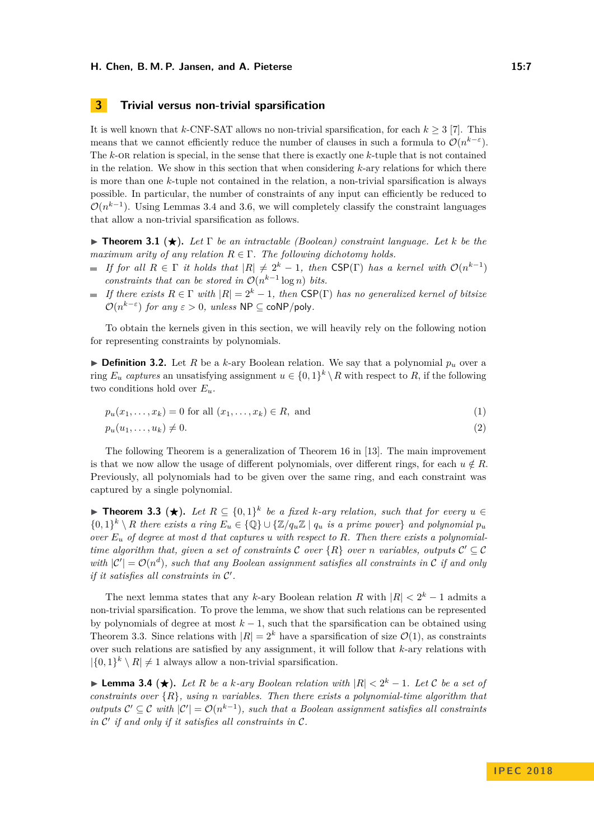## <span id="page-6-0"></span>**3 Trivial versus non-trivial sparsification**

It is well known that  $k$ -CNF-SAT allows no non-trivial sparsification, for each  $k \geq 3$  [\[7\]](#page-12-9). This means that we cannot efficiently reduce the number of clauses in such a formula to  $\mathcal{O}(n^{k-\varepsilon})$ . The *k*-OR relation is special, in the sense that there is exactly one *k*-tuple that is not contained in the relation. We show in this section that when considering *k*-ary relations for which there is more than one *k*-tuple not contained in the relation, a non-trivial sparsification is always possible. In particular, the number of constraints of any input can efficiently be reduced to  $\mathcal{O}(n^{k-1})$ . Using Lemmas [3.4](#page-6-1) and [3.6,](#page-7-2) we will completely classify the constraint languages that allow a non-trivial sparsification as follows.

<span id="page-6-3"></span>**Theorem 3.1 (** $\star$ **).** *Let*  $\Gamma$  *be an intractable (Boolean) constraint language. Let k be the maximum arity of any relation*  $R \in \Gamma$ . The following dichotomy holds.

- *If for all*  $R \in \Gamma$  *it holds that*  $|R| \neq 2^k 1$ , *then* CSP(Γ) *has a kernel with*  $\mathcal{O}(n^{k-1})$ *constraints that can be stored in*  $\mathcal{O}(n^{k-1} \log n)$  *bits.*
- $I$ *If there exists R* ∈ Γ *with*  $|R| = 2<sup>k</sup> − 1$ *, then* CSP(Γ) *has no generalized kernel of bitsize*  $\mathcal{O}(n^{k-\varepsilon})$  *for any*  $\varepsilon > 0$ *, unless* NP  $\subseteq$  coNP/poly.

To obtain the kernels given in this section, we will heavily rely on the following notion for representing constraints by polynomials.

**Definition 3.2.** Let R be a k-ary Boolean relation. We say that a polynomial  $p_u$  over a ring  $E_u$  *captures* an unsatisfying assignment  $u \in \{0,1\}^k \setminus R$  with respect to R, if the following two conditions hold over  $E_u$ .

<span id="page-6-4"></span>
$$
p_u(x_1, \ldots, x_k) = 0 \text{ for all } (x_1, \ldots, x_k) \in R, \text{ and } (1)
$$

<span id="page-6-5"></span>
$$
p_u(u_1,\ldots,u_k)\neq 0.\tag{2}
$$

The following Theorem is a generalization of Theorem 16 in [\[13\]](#page-12-18). The main improvement is that we now allow the usage of different polynomials, over different rings, for each  $u \notin R$ . Previously, all polynomials had to be given over the same ring, and each constraint was captured by a single polynomial.

<span id="page-6-2"></span>**► Theorem 3.3 (★).** Let  $R \subseteq \{0,1\}^k$  be a fixed *k*-ary relation, such that for every  $u \in \{0,1\}^k$  $\{0,1\}^k \setminus R$  there exists a ring  $E_u \in \{ \mathbb{Q} \} \cup \{ \mathbb{Z}/q_u \mathbb{Z} \mid q_u \text{ is a prime power} \}$  and polynomial  $p_u$ *over E<sup>u</sup> of degree at most d that captures u with respect to R. Then there exists a polynomialtime algorithm that, given a set of constraints*  $C$  *over*  $\{R\}$  *over n variables, outputs*  $C' \subseteq C$ with  $|C'| = \mathcal{O}(n^d)$ , such that any Boolean assignment satisfies all constraints in C if and only *if it satisfies all constraints in C'*.

The next lemma states that any *k*-ary Boolean relation *R* with  $|R| < 2<sup>k</sup> - 1$  admits a non-trivial sparsification. To prove the lemma, we show that such relations can be represented by polynomials of degree at most  $k - 1$ , such that the sparsification can be obtained using Theorem [3.3.](#page-6-2) Since relations with  $|R| = 2^k$  have a sparsification of size  $\mathcal{O}(1)$ , as constraints over such relations are satisfied by any assignment, it will follow that *k*-ary relations with  $|\{0,1\}^k \setminus R| \neq 1$  always allow a non-trivial sparsification.

<span id="page-6-1"></span>**► Lemma 3.4 (★).** Let R be a k-ary Boolean relation with  $|R| < 2^k - 1$ . Let C be a set of *constraints over* {*R*}*, using n variables. Then there exists a polynomial-time algorithm that outputs*  $C' \subseteq C$  *with*  $|C'| = \mathcal{O}(n^{k-1})$ , such that a Boolean assignment satisfies all constraints in  $\mathcal{C}'$  if and only if it satisfies all constraints in  $\mathcal{C}$ .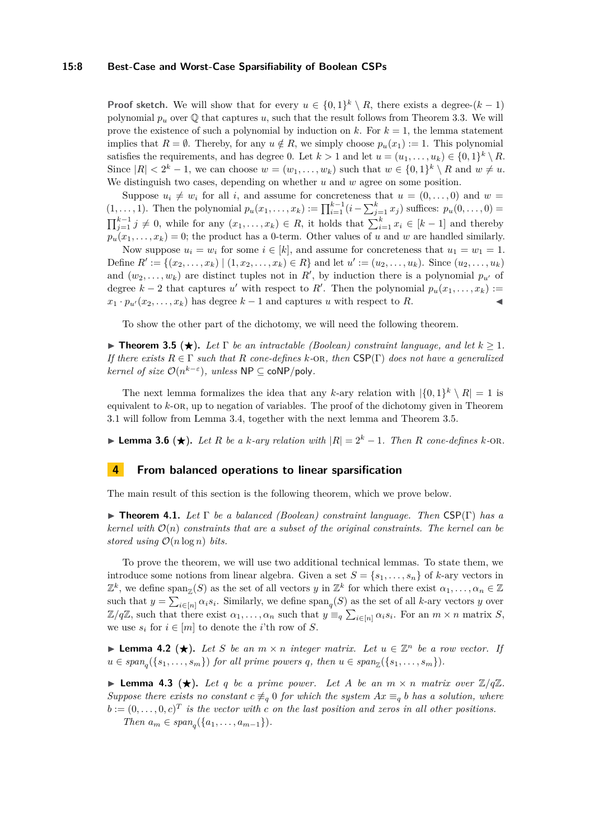#### **15:8 Best-Case and Worst-Case Sparsifiability of Boolean CSPs**

**Proof sketch.** We will show that for every  $u \in \{0,1\}^k \setminus R$ , there exists a degree- $(k-1)$ polynomial  $p_u$  over  $\mathbb Q$  that captures *u*, such that the result follows from Theorem [3.3.](#page-6-2) We will prove the existence of such a polynomial by induction on  $k$ . For  $k = 1$ , the lemma statement implies that  $R = \emptyset$ . Thereby, for any  $u \notin R$ , we simply choose  $p_u(x_1) := 1$ . This polynomial satisfies the requirements, and has degree 0. Let  $k > 1$  and let  $u = (u_1, \ldots, u_k) \in \{0,1\}^k \setminus R$ . Since  $|R| < 2^k - 1$ , we can choose  $w = (w_1, \ldots, w_k)$  such that  $w \in \{0, 1\}^k \setminus R$  and  $w \neq u$ . We distinguish two cases, depending on whether *u* and *w* agree on some position.

Suppose  $u_i \neq w_i$  for all *i*, and assume for concreteness that  $u = (0, \ldots, 0)$  and  $w =$  $(1, \ldots, 1)$ . Then the polynomial  $p_u(x_1, \ldots, x_k) := \prod_{i=1}^{k-1} (i - \sum_{j=1}^k x_j)$  suffices:  $p_u(0, \ldots, 0) =$  $\prod_{j=1}^{k-1} j \neq 0$ , while for any  $(x_1, \ldots, x_k) \in R$ , it holds that  $\sum_{i=1}^{k} x_i \in [k-1]$  and thereby  $p_u(x_1, \ldots, x_k) = 0$ ; the product has a 0-term. Other values of *u* and *w* are handled similarly.

Now suppose  $u_i = w_i$  for some  $i \in [k]$ , and assume for concreteness that  $u_1 = w_1 = 1$ . Define  $R' := \{(x_2, \ldots, x_k) \mid (1, x_2, \ldots, x_k) \in R\}$  and let  $u' := (u_2, \ldots, u_k)$ . Since  $(u_2, \ldots, u_k)$ and  $(w_2, \ldots, w_k)$  are distinct tuples not in  $R'$ , by induction there is a polynomial  $p_{u'}$  of degree  $k-2$  that captures *u'* with respect to *R'*. Then the polynomial  $p_u(x_1, \ldots, x_k) :=$  $x_1 \cdot p_{u'}(x_2, \ldots, x_k)$  has degree  $k-1$  and captures *u* with respect to *R*.

To show the other part of the dichotomy, we will need the following theorem.

<span id="page-7-3"></span>**Figure 1.5**  $\star$  **Figure 1.** *Let*  $\Gamma$  *be an intractable (Boolean) constraint language, and let*  $k > 1$ *. If there exists*  $R \in \Gamma$  *such that*  $R$  *cone-defines*  $k$ -*OR, then*  $CSP(\Gamma)$  *does not have a generalized kernel of size*  $\mathcal{O}(n^{k-\varepsilon})$ *, unless*  $\mathsf{NP} \subseteq \mathsf{coNP/poly}$ *.* 

The next lemma formalizes the idea that any *k*-ary relation with  $|\{0,1\}^k \setminus R| = 1$  is equivalent to *k*-or, up to negation of variables. The proof of the dichotomy given in Theorem [3.1](#page-6-3) will follow from Lemma [3.4,](#page-6-1) together with the next lemma and Theorem [3.5.](#page-7-3)

<span id="page-7-2"></span>**► Lemma 3.6** (★). Let R be a *k*-ary relation with  $|R| = 2^k - 1$ . Then R cone-defines *k*-OR.

### <span id="page-7-1"></span>**4 From balanced operations to linear sparsification**

The main result of this section is the following theorem, which we prove below.

<span id="page-7-4"></span>I **Theorem 4.1.** *Let* Γ *be a balanced (Boolean) constraint language. Then* CSP(Γ) *has a kernel with*  $\mathcal{O}(n)$  *constraints that are a subset of the original constraints. The kernel can be stored using*  $O(n \log n)$  *bits.* 

To prove the theorem, we will use two additional technical lemmas. To state them, we introduce some notions from linear algebra. Given a set  $S = \{s_1, \ldots, s_n\}$  of *k*-ary vectors in  $\mathbb{Z}^k$ , we define span<sub> $\mathbb{Z}(S)$ </sub> as the set of all vectors *y* in  $\mathbb{Z}^k$  for which there exist  $\alpha_1, \ldots, \alpha_n \in \mathbb{Z}$ such that  $y = \sum_{i \in [n]} \alpha_i s_i$ . Similarly, we define  $\text{span}_q(S)$  as the set of all *k*-ary vectors *y* over  $\mathbb{Z}/q\mathbb{Z}$ , such that there exist  $\alpha_1, \ldots, \alpha_n$  such that  $y \equiv_q \sum_{i \in [n]} \alpha_i s_i$ . For an  $m \times n$  matrix *S*, we use  $s_i$  for  $i \in [m]$  to denote the *i*'th row of *S*.

<span id="page-7-0"></span>**► Lemma 4.2 (★).** Let S be an  $m \times n$  integer matrix. Let  $u \in \mathbb{Z}^n$  be a row vector. If  $u \in span_q(\{s_1, \ldots, s_m\})$  for all prime powers *q*, then  $u \in span_{\mathbb{Z}}(\{s_1, \ldots, s_m\})$ .

<span id="page-7-5"></span>**I Lemma 4.3** ( $\star$ ). Let q be a prime power. Let A be an  $m \times n$  matrix over  $\mathbb{Z}/q\mathbb{Z}$ . *Suppose there exists no constant*  $c \neq_q 0$  *for which the system*  $Ax \equiv_q b$  *has a solution, where*  $b := (0, \ldots, 0, c)^T$  is the vector with *c* on the last position and zeros in all other positions.

*Then*  $a_m \in span_q(\{a_1, \ldots, a_{m-1}\})$ .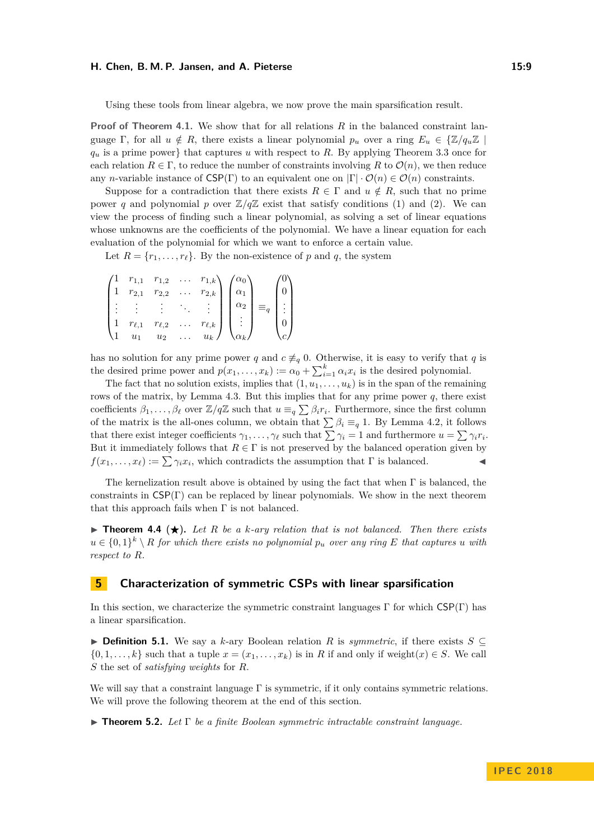#### **H. Chen, B. M. P. Jansen, and A. Pieterse 15:9**

Using these tools from linear algebra, we now prove the main sparsification result.

**Proof of Theorem [4.1.](#page-7-4)** We show that for all relations *R* in the balanced constraint language Γ, for all  $u \notin R$ , there exists a linear polynomial  $p_u$  over a ring  $E_u \in \{\mathbb{Z}/q_u\mathbb{Z} \mid$ *q<sup>u</sup>* is a prime power} that captures *u* with respect to *R*. By applying Theorem [3.3](#page-6-2) once for each relation  $R \in \Gamma$ , to reduce the number of constraints involving R to  $\mathcal{O}(n)$ , we then reduce any *n*-variable instance of  $CSP(\Gamma)$  to an equivalent one on  $|\Gamma| \cdot \mathcal{O}(n) \in \mathcal{O}(n)$  constraints.

Suppose for a contradiction that there exists  $R \in \Gamma$  and  $u \notin R$ , such that no prime power *q* and polynomial *p* over  $\mathbb{Z}/q\mathbb{Z}$  exist that satisfy conditions [\(1\)](#page-6-4) and [\(2\)](#page-6-5). We can view the process of finding such a linear polynomial, as solving a set of linear equations whose unknowns are the coefficients of the polynomial. We have a linear equation for each evaluation of the polynomial for which we want to enforce a certain value.

Let  $R = \{r_1, \ldots, r_\ell\}$ . By the non-existence of *p* and *q*, the system

| $r_{1,1}$    | $r_{1,2}$    |          | $r_{1,k}$     |                   |            |  |
|--------------|--------------|----------|---------------|-------------------|------------|--|
| $r_{2,1}$    | $r_{2,2}$    | $\cdots$ | $r_{2,k}$     |                   |            |  |
|              |              |          |               | $\alpha$          | $\equiv_q$ |  |
| $r_{\ell,1}$ | $r_{\ell,2}$ |          | $r_{\ell, k}$ |                   |            |  |
| $\,u_1$      | $u_2$        |          | $u_k$         | $\mathcal{X}_k$ / |            |  |

has no solution for any prime power *q* and  $c \neq_q 0$ . Otherwise, it is easy to verify that *q* is the desired prime power and  $p(x_1, \ldots, x_k) := \alpha_0 + \sum_{i=1}^k \alpha_i x_i$  is the desired polynomial.

The fact that no solution exists, implies that  $(1, u_1, \ldots, u_k)$  is in the span of the remaining rows of the matrix, by Lemma [4.3.](#page-7-5) But this implies that for any prime power *q*, there exist coefficients  $\beta_1, \ldots, \beta_\ell$  over  $\mathbb{Z}/q\mathbb{Z}$  such that  $u \equiv_q \sum \beta_i r_i$ . Furthermore, since the first column of the matrix is the all-ones column, we obtain that  $\sum \beta_i \equiv_q 1$ . By Lemma [4.2,](#page-7-0) it follows that there exist integer coefficients  $\gamma_1, \ldots, \gamma_\ell$  such that  $\sum \gamma_i = 1$  and furthermore  $u = \sum \gamma_i r_i$ . But it immediately follows that  $R \in \Gamma$  is not preserved by the balanced operation given by  $f(x_1, \ldots, x_\ell) := \sum \gamma_i x_i$ , which contradicts the assumption that  $\Gamma$  is balanced.

The kernelization result above is obtained by using the fact that when  $\Gamma$  is balanced, the constraints in  $CSP(\Gamma)$  can be replaced by linear polynomials. We show in the next theorem that this approach fails when  $\Gamma$  is not balanced.

 $\triangleright$  **Theorem 4.4** ( $\star$ ). Let R be a k-ary relation that is not balanced. Then there exists  $u \in \{0,1\}^k \setminus R$  *for which there exists no polynomial*  $p_u$  *over any ring E that captures u with respect to R.*

## <span id="page-8-0"></span>**5 Characterization of symmetric CSPs with linear sparsification**

In this section, we characterize the symmetric constraint languages  $\Gamma$  for which  $CSP(\Gamma)$  has a linear sparsification.

**► Definition 5.1.** We say a *k*-ary Boolean relation *R* is *symmetric*, if there exists  $S \subseteq$  $\{0, 1, \ldots, k\}$  such that a tuple  $x = (x_1, \ldots, x_k)$  is in *R* if and only if weight $(x) \in S$ . We call *S* the set of *satisfying weights* for *R*.

We will say that a constraint language  $\Gamma$  is symmetric, if it only contains symmetric relations. We will prove the following theorem at the end of this section.

<span id="page-8-1"></span> $\blacktriangleright$  **Theorem 5.2.** *Let*  $\Gamma$  *be a finite Boolean symmetric intractable constraint language.*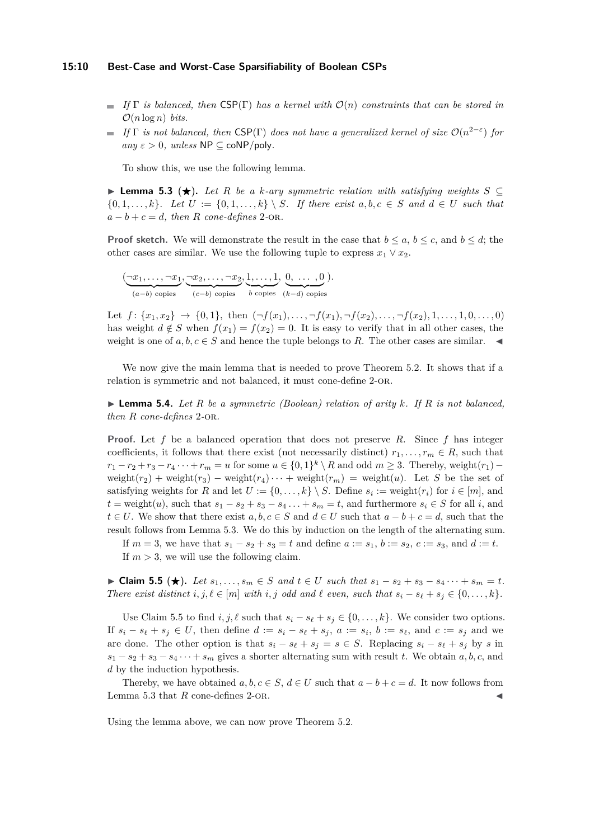#### **15:10 Best-Case and Worst-Case Sparsifiability of Boolean CSPs**

- $\blacksquare$  *If*  $\Gamma$  *is balanced, then* CSP( $\Gamma$ ) *has a kernel with*  $\mathcal{O}(n)$  *constraints that can be stored in*  $\mathcal{O}(n \log n)$  *bits.*
- *If*  $\Gamma$  *is not balanced, then* CSP( $\Gamma$ ) *does not have a generalized kernel of size*  $\mathcal{O}(n^{2-\epsilon})$  *for*  $any \varepsilon > 0$ *, unless*  $NP \subseteq coNP/poly$ *.*

To show this, we use the following lemma.

<span id="page-9-0"></span>**► Lemma 5.3 (** $\star$ **).** Let R be a k-ary symmetric relation with satisfying weights  $S \subseteq$  $\{0, 1, \ldots, k\}$ . Let  $U := \{0, 1, \ldots, k\} \setminus S$ . If there exist  $a, b, c \in S$  and  $d \in U$  such that  $a - b + c = d$ *, then R cone-defines* 2-OR.

**Proof sketch.** We will demonstrate the result in the case that  $b \le a, b \le c$ , and  $b \le d$ ; the other cases are similar. We use the following tuple to express  $x_1 \vee x_2$ .

$$
(\underbrace{\neg x_1, \dots, \neg x_1}_{(a-b) \text{ copies}}, \underbrace{\neg x_2, \dots, \neg x_2}_{(c-b) \text{ copies}}, \underbrace{1, \dots, 1}_{b \text{ copies}}, \underbrace{0, \dots, 0}_{(k-d) \text{ copies}}).
$$

Let  $f: \{x_1, x_2\} \rightarrow \{0, 1\}$ , then  $(\neg f(x_1), \dots, \neg f(x_1), \neg f(x_2), \dots, \neg f(x_2), 1, \dots, 1, 0, \dots, 0)$ has weight  $d \notin S$  when  $f(x_1) = f(x_2) = 0$ . It is easy to verify that in all other cases, the weight is one of  $a, b, c \in S$  and hence the tuple belongs to R. The other cases are similar.  $\blacktriangleleft$ 

We now give the main lemma that is needed to prove Theorem [5.2.](#page-8-1) It shows that if a relation is symmetric and not balanced, it must cone-define 2-or.

<span id="page-9-2"></span> $\blacktriangleright$  **Lemma 5.4.** *Let R be a symmetric (Boolean) relation of arity k. If R is not balanced, then R cone-defines* 2*-*or*.*

**Proof.** Let *f* be a balanced operation that does not preserve *R*. Since *f* has integer coefficients, it follows that there exist (not necessarily distinct)  $r_1, \ldots, r_m \in R$ , such that  $r_1 - r_2 + r_3 - r_4 \cdots + r_m = u$  for some  $u \in \{0, 1\}^k \setminus R$  and odd  $m \geq 3$ . Thereby, weight $(r_1)$  – weight( $r_2$ ) + weight( $r_3$ ) – weight( $r_4$ ) · · + weight( $r_m$ ) = weight(*u*). Let *S* be the set of satisfying weights for *R* and let  $U := \{0, \ldots, k\} \setminus S$ . Define  $s_i := \text{weight}(r_i)$  for  $i \in [m]$ , and  $t =$  weight $(u)$ , such that  $s_1 - s_2 + s_3 - s_4 \ldots + s_m = t$ , and furthermore  $s_i \in S$  for all *i*, and *t* ∈ *U*. We show that there exist  $a, b, c \in S$  and  $d \in U$  such that  $a - b + c = d$ , such that the result follows from Lemma [5.3.](#page-9-0) We do this by induction on the length of the alternating sum.

If  $m = 3$ , we have that  $s_1 - s_2 + s_3 = t$  and define  $a := s_1$ ,  $b := s_2$ ,  $c := s_3$ , and  $d := t$ . If  $m > 3$ , we will use the following claim.

<span id="page-9-1"></span>► Claim 5.5 (★). Let  $s_1, \ldots, s_m \in S$  and  $t \in U$  such that  $s_1 - s_2 + s_3 - s_4 \cdots + s_m = t$ . *There exist distinct*  $i, j, \ell \in [m]$  *with*  $i, j$  *odd and*  $\ell$  *even, such that*  $s_i - s_{\ell} + s_j \in \{0, \ldots, k\}$ *.* 

Use Claim [5.5](#page-9-1) to find  $i, j, \ell$  such that  $s_i - s_\ell + s_j \in \{0, \ldots, k\}$ . We consider two options. If  $s_i - s_\ell + s_j \in U$ , then define  $d := s_i - s_\ell + s_j$ ,  $a := s_i$ ,  $b := s_\ell$ , and  $c := s_j$  and we are done. The other option is that  $s_i - s_\ell + s_j = s \in S$ . Replacing  $s_i - s_\ell + s_j$  by *s* in  $s_1 - s_2 + s_3 - s_4 \cdots + s_m$  gives a shorter alternating sum with result *t*. We obtain *a*, *b*, *c*, and *d* by the induction hypothesis.

Thereby, we have obtained  $a, b, c \in S$ ,  $d \in U$  such that  $a - b + c = d$ . It now follows from Lemma [5.3](#page-9-0) that  $R$  cone-defines 2-or.

Using the lemma above, we can now prove Theorem [5.2.](#page-8-1)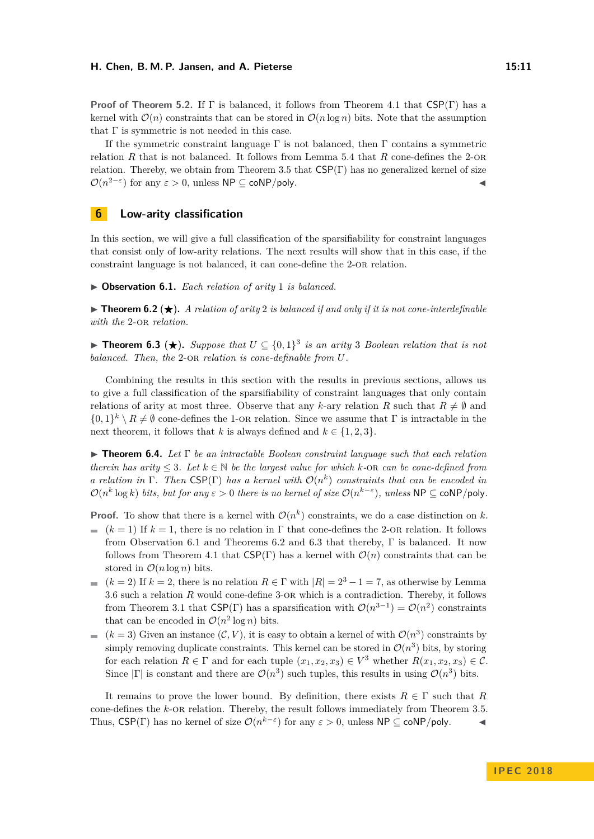**Proof of Theorem [5.2.](#page-8-1)** If Γ is balanced, it follows from Theorem [4.1](#page-7-4) that CSP(Γ) has a kernel with  $\mathcal{O}(n)$  constraints that can be stored in  $\mathcal{O}(n \log n)$  bits. Note that the assumption that  $\Gamma$  is symmetric is not needed in this case.

If the symmetric constraint language  $\Gamma$  is not balanced, then  $\Gamma$  contains a symmetric relation *R* that is not balanced. It follows from Lemma [5.4](#page-9-2) that *R* cone-defines the 2-or relation. Thereby, we obtain from Theorem [3.5](#page-7-3) that  $CSP(\Gamma)$  has no generalized kernel of size  $\mathcal{O}(n^{2-\epsilon})$  for any  $\varepsilon > 0$ , unless  $\mathsf{NP} \subseteq \mathsf{coNP/poly}.$ 

## <span id="page-10-0"></span>**6 Low-arity classification**

In this section, we will give a full classification of the sparsifiability for constraint languages that consist only of low-arity relations. The next results will show that in this case, if the constraint language is not balanced, it can cone-define the 2-or relation.

<span id="page-10-1"></span>▶ Observation 6.1. *Each relation of arity* 1 *is balanced.* 

<span id="page-10-2"></span>**In Theorem 6.2** ( $\star$ ). A relation of arity 2 is balanced if and only if it is not cone-interdefinable *with the* 2-or *relation.*

<span id="page-10-3"></span>**► Theorem 6.3 (★).** Suppose that  $U \subseteq \{0,1\}^3$  is an arity 3 Boolean relation that is not *balanced. Then, the* 2-or *relation is cone-definable from U.*

Combining the results in this section with the results in previous sections, allows us to give a full classification of the sparsifiability of constraint languages that only contain relations of arity at most three. Observe that any *k*-ary relation *R* such that  $R \neq \emptyset$  and  $\{0,1\}^k \setminus R \neq \emptyset$  cone-defines the 1-OR relation. Since we assume that  $\Gamma$  is intractable in the next theorem, it follows that *k* is always defined and  $k \in \{1, 2, 3\}.$ 

I **Theorem 6.4.** *Let* Γ *be an intractable Boolean constraint language such that each relation therein has arity*  $\leq 3$ *. Let*  $k \in \mathbb{N}$  *be the largest value for which*  $k$ -OR *can be cone-defined from a* relation in  $\Gamma$ . Then CSP( $\Gamma$ ) has a kernel with  $\mathcal{O}(n^k)$  constraints that can be encoded in  $\mathcal{O}(n^k \log k)$  *bits, but for any*  $\varepsilon > 0$  *there is no kernel of size*  $\mathcal{O}(n^{k-\varepsilon})$ *, unless*  $\mathsf{NP} \subseteq \mathsf{coNP/poly}$ *.* 

**Proof.** To show that there is a kernel with  $\mathcal{O}(n^k)$  constraints, we do a case distinction on k.

- $(k = 1)$  If  $k = 1$ , there is no relation in  $\Gamma$  that cone-defines the 2-OR relation. It follows from Observation [6.1](#page-10-1) and Theorems [6.2](#page-10-2) and [6.3](#page-10-3) that thereby, Γ is balanced. It now follows from Theorem [4.1](#page-7-4) that  $\text{CSP}(\Gamma)$  has a kernel with  $\mathcal{O}(n)$  constraints that can be stored in  $\mathcal{O}(n \log n)$  bits.
- (*k* = 2) If  $k = 2$ , there is no relation  $R \in \Gamma$  with  $|R| = 2^3 1 = 7$ , as otherwise by Lemma [3.6](#page-7-2) such a relation *R* would cone-define 3-or which is a contradiction. Thereby, it follows from Theorem [3.1](#page-6-3) that  $CSP(\Gamma)$  has a sparsification with  $\mathcal{O}(n^{3-1}) = \mathcal{O}(n^2)$  constraints that can be encoded in  $\mathcal{O}(n^2 \log n)$  bits.
- $(k=3)$  Given an instance  $(C, V)$ , it is easy to obtain a kernel of with  $\mathcal{O}(n^3)$  constraints by simply removing duplicate constraints. This kernel can be stored in  $\mathcal{O}(n^3)$  bits, by storing for each relation  $R \in \Gamma$  and for each tuple  $(x_1, x_2, x_3) \in V^3$  whether  $R(x_1, x_2, x_3) \in C$ . Since  $|\Gamma|$  is constant and there are  $\mathcal{O}(n^3)$  such tuples, this results in using  $\mathcal{O}(n^3)$  bits.

It remains to prove the lower bound. By definition, there exists  $R \in \Gamma$  such that *R* cone-defines the *k*-or relation. Thereby, the result follows immediately from Theorem [3.5.](#page-7-3) Thus,  $CSP(\Gamma)$  has no kernel of size  $\mathcal{O}(n^{k-\epsilon})$  for any  $\epsilon > 0$ , unless  $NP \subseteq \mathsf{coNP/poly}$ .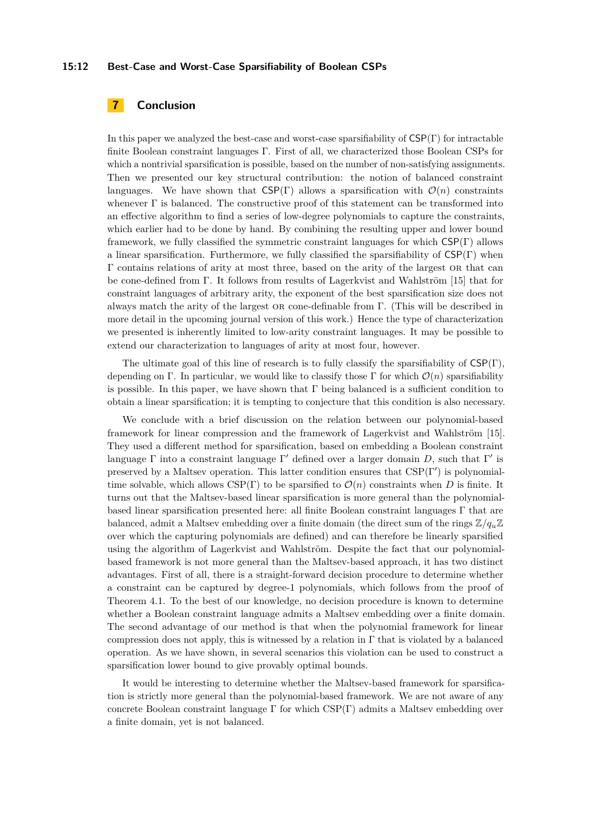#### **15:12 Best-Case and Worst-Case Sparsifiability of Boolean CSPs**

# **7 Conclusion**

In this paper we analyzed the best-case and worst-case sparsifiability of  $CSP(\Gamma)$  for intractable finite Boolean constraint languages Γ. First of all, we characterized those Boolean CSPs for which a nontrivial sparsification is possible, based on the number of non-satisfying assignments. Then we presented our key structural contribution: the notion of balanced constraint languages. We have shown that  $CSP(\Gamma)$  allows a sparsification with  $\mathcal{O}(n)$  constraints whenever Γ is balanced. The constructive proof of this statement can be transformed into an effective algorithm to find a series of low-degree polynomials to capture the constraints, which earlier had to be done by hand. By combining the resulting upper and lower bound framework, we fully classified the symmetric constraint languages for which  $CSP(\Gamma)$  allows a linear sparsification. Furthermore, we fully classified the sparsifiability of  $CSP(\Gamma)$  when Γ contains relations of arity at most three, based on the arity of the largest or that can be cone-defined from Γ. It follows from results of Lagerkvist and Wahlström [\[15\]](#page-12-5) that for constraint languages of arbitrary arity, the exponent of the best sparsification size does not always match the arity of the largest or cone-definable from Γ. (This will be described in more detail in the upcoming journal version of this work.) Hence the type of characterization we presented is inherently limited to low-arity constraint languages. It may be possible to extend our characterization to languages of arity at most four, however.

The ultimate goal of this line of research is to fully classify the sparsifiability of  $CSP(\Gamma)$ , depending on Γ. In particular, we would like to classify those Γ for which  $\mathcal{O}(n)$  sparsifiability is possible. In this paper, we have shown that  $\Gamma$  being balanced is a sufficient condition to obtain a linear sparsification; it is tempting to conjecture that this condition is also necessary.

We conclude with a brief discussion on the relation between our polynomial-based framework for linear compression and the framework of Lagerkvist and Wahlström [\[15\]](#page-12-5). They used a different method for sparsification, based on embedding a Boolean constraint language  $\Gamma$  into a constraint language  $\Gamma'$  defined over a larger domain D, such that  $\Gamma'$  is preserved by a Maltsev operation. This latter condition ensures that  $CSP(\Gamma')$  is polynomialtime solvable, which allows  $CSP(\Gamma)$  to be sparsified to  $\mathcal{O}(n)$  constraints when *D* is finite. It turns out that the Maltsev-based linear sparsification is more general than the polynomialbased linear sparsification presented here: all finite Boolean constraint languages Γ that are balanced, admit a Maltsev embedding over a finite domain (the direct sum of the rings  $\mathbb{Z}/q_u\mathbb{Z}$ over which the capturing polynomials are defined) and can therefore be linearly sparsified using the algorithm of Lagerkvist and Wahlström. Despite the fact that our polynomialbased framework is not more general than the Maltsev-based approach, it has two distinct advantages. First of all, there is a straight-forward decision procedure to determine whether a constraint can be captured by degree-1 polynomials, which follows from the proof of Theorem [4.1.](#page-7-4) To the best of our knowledge, no decision procedure is known to determine whether a Boolean constraint language admits a Maltsev embedding over a finite domain. The second advantage of our method is that when the polynomial framework for linear compression does not apply, this is witnessed by a relation in  $\Gamma$  that is violated by a balanced operation. As we have shown, in several scenarios this violation can be used to construct a sparsification lower bound to give provably optimal bounds.

It would be interesting to determine whether the Maltsev-based framework for sparsification is strictly more general than the polynomial-based framework. We are not aware of any concrete Boolean constraint language  $\Gamma$  for which CSP(Γ) admits a Maltsev embedding over a finite domain, yet is not balanced.